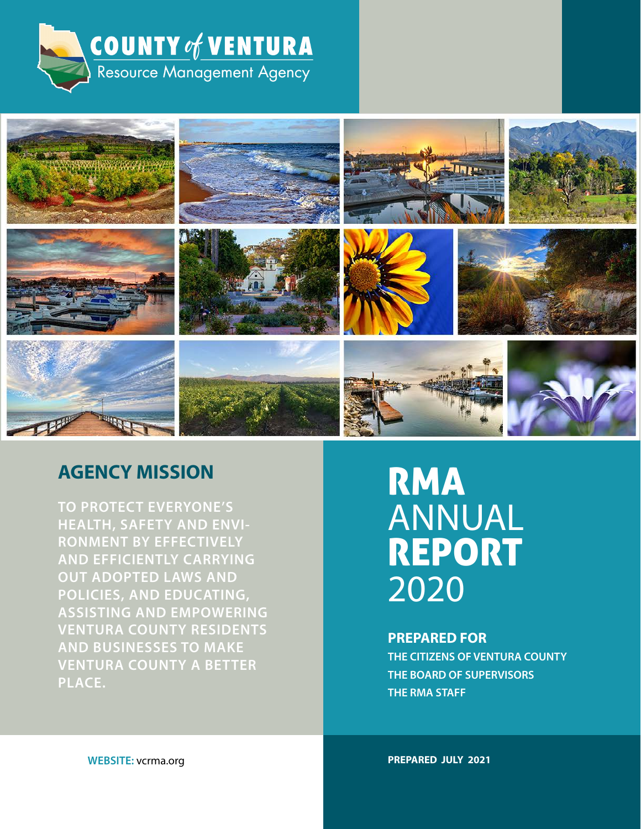



### **AGENCY MISSION**

**TO PROTECT EVERYONE'S HEALTH, SAFETY AND ENVI-RONMENT BY EFFECTIVELY AND EFFICIENTLY CARRYING OUT ADOPTED LAWS AND POLICIES, AND EDUCATING, ASSISTING AND EMPOWERING VENTURA COUNTY RESIDENTS AND BUSINESSES TO MAKE VENTURA COUNTY A BETTER PLACE.**

## RMA ANNUAL REPORT 2020

#### **PREPARED FOR**

**THE CITIZENS OF VENTURA COUNTY THE BOARD OF SUPERVISORS THE RMA STAFF**

**WEBSITE:** vcrma.org

**PREPARED JULY 2021**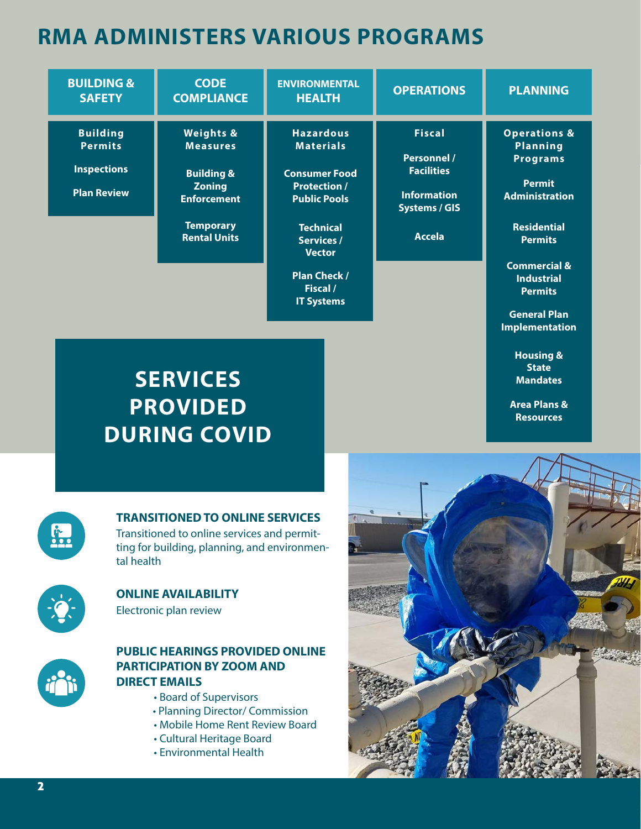## **RMA ADMINISTERS VARIOUS PROGRAMS**

| <b>BUILDING &amp;</b><br><b>SAFETY</b>                                        | <b>CODE</b><br><b>COMPLIANCE</b>                                                                                                                   | <b>ENVIRONMENTAL</b><br><b>HEALTH</b>                                                                                                                                                                                        | <b>OPERATIONS</b>                                                                                                       | <b>PLANNING</b>                                                                                                                                                                                                                          |
|-------------------------------------------------------------------------------|----------------------------------------------------------------------------------------------------------------------------------------------------|------------------------------------------------------------------------------------------------------------------------------------------------------------------------------------------------------------------------------|-------------------------------------------------------------------------------------------------------------------------|------------------------------------------------------------------------------------------------------------------------------------------------------------------------------------------------------------------------------------------|
| <b>Building</b><br><b>Permits</b><br><b>Inspections</b><br><b>Plan Review</b> | <b>Weights &amp;</b><br><b>Measures</b><br><b>Building &amp;</b><br><b>Zoning</b><br><b>Enforcement</b><br><b>Temporary</b><br><b>Rental Units</b> | <b>Hazardous</b><br><b>Materials</b><br><b>Consumer Food</b><br><b>Protection /</b><br><b>Public Pools</b><br><b>Technical</b><br><b>Services /</b><br><b>Vector</b><br><b>Plan Check /</b><br>Fiscal /<br><b>IT Systems</b> | <b>Fiscal</b><br><b>Personnel /</b><br><b>Facilities</b><br><b>Information</b><br><b>Systems / GIS</b><br><b>Accela</b> | <b>Operations &amp;</b><br><b>Planning</b><br><b>Programs</b><br><b>Permit</b><br><b>Administration</b><br><b>Residential</b><br><b>Permits</b><br><b>Commercial &amp;</b><br><b>Industrial</b><br><b>Permits</b><br><b>General Plan</b> |
| <b>SERVICES</b><br><b>PROVIDED</b><br><b>DURING COVID</b>                     |                                                                                                                                                    |                                                                                                                                                                                                                              |                                                                                                                         | <b>Implementation</b><br><b>Housing &amp;</b><br><b>State</b><br><b>Mandates</b><br><b>Area Plans &amp;</b><br><b>Resources</b>                                                                                                          |



#### **TRANSITIONED TO ONLINE SERVICES**

Transitioned to online services and permitting for building, planning, and environmental health



Electronic plan review **ONLINE AVAILABILITY**



#### **PUBLIC HEARINGS PROVIDED ONLINE PARTICIPATION BY ZOOM AND DIRECT EMAILS**

- Board of Supervisors
- Planning Director/ Commission
- Mobile Home Rent Review Board
- Cultural Heritage Board
- Environmental Health

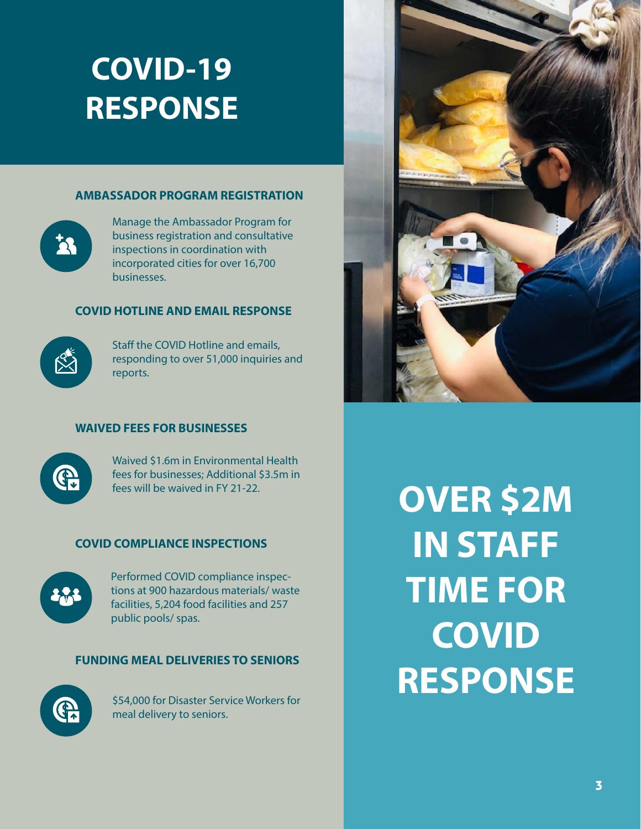## **COVID-19 RESPONSE**

#### **AMBASSADOR PROGRAM REGISTRATION**



Manage the Ambassador Program for business registration and consultative inspections in coordination with incorporated cities for over 16,700 businesses.

#### **COVID HOTLINE AND EMAIL RESPONSE**



Staff the COVID Hotline and emails, responding to over 51,000 inquiries and reports.

#### **WAIVED FEES FOR BUSINESSES**



Waived \$1.6m in Environmental Health fees for businesses; Additional \$3.5m in fees will be waived in FY 21-22.

#### **COVID COMPLIANCE INSPECTIONS**



Performed COVID compliance inspections at 900 hazardous materials/ waste facilities, 5,204 food facilities and 257 public pools/ spas.

#### **FUNDING MEAL DELIVERIES TO SENIORS**



\$54,000 for Disaster Service Workers for meal delivery to seniors.



**OVER \$2M IN STAFF TIME FOR COVID RESPONSE**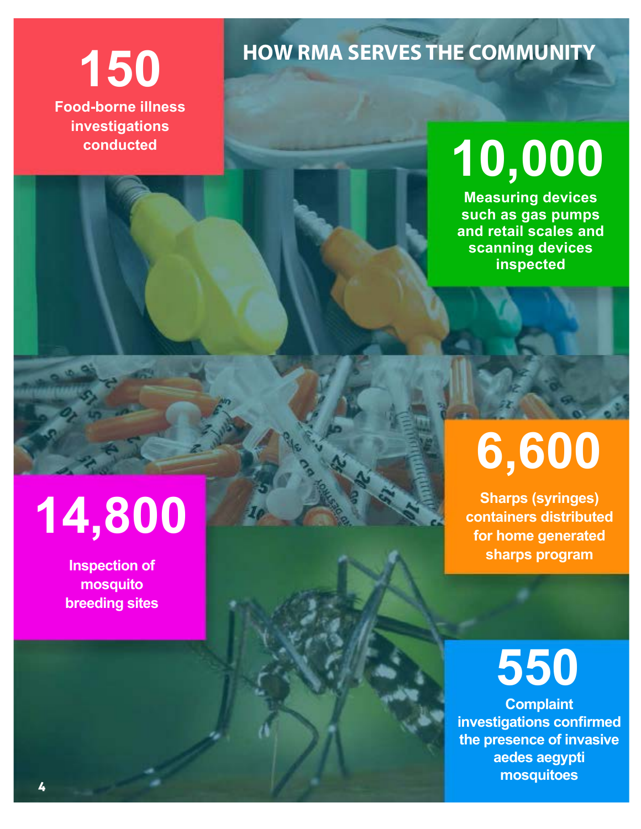

**investigations conducted**

# **HOW RMA SERVES THE COMMUNITY 150**

# **10,000**

**Measuring devices such as gas pumps and retail scales and scanning devices inspected**

# **14,800**

**Inspection of mosquito breeding sites**

# **6,600**

**Sharps (syringes) containers distributed for home generated sharps program**

# **550**

**Complaint investigations confirmed the presence of invasive aedes aegypti mosquitoes**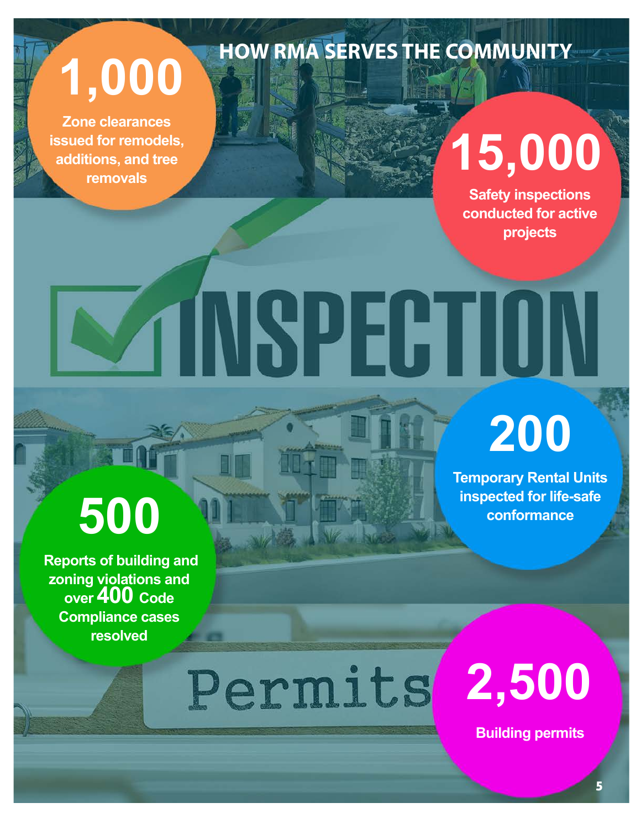**1,000**

**Zone clearances issued for remodels, additions, and tree removals**

# **15,000**

**Safety inspections conducted for active projects**

# AINSPEHII

**HOW RMA SERVES THE COMMUNITY**

# **200**

**Temporary Rental Units inspected for life-safe conformance**

# **500**

 **Reports of building and zoning violations and over 400 Code Compliance cases resolved**

Permits

**2,500**

**Building permits**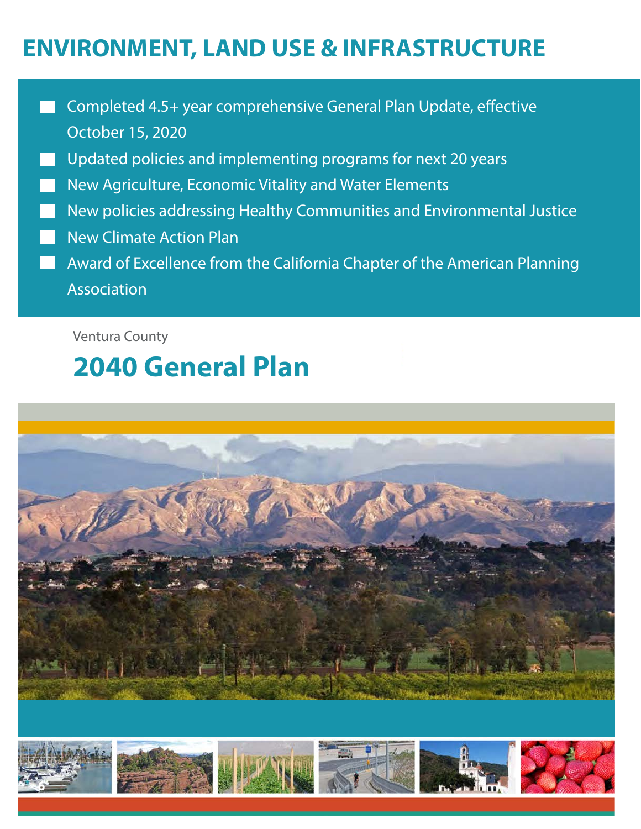## **ENVIRONMENT, LAND USE & INFRASTRUCTURE**

- Completed 4.5+ year comprehensive General Plan Update, effective October 15, 2020
- Updated policies and implementing programs for next 20 years
- New Agriculture, Economic Vitality and Water Elements
- New policies addressing Healthy Communities and Environmental Justice
- New Climate Action Plan
- Award of Excellence from the California Chapter of the American Planning Association

Ventura County

## **2040 General Plan**



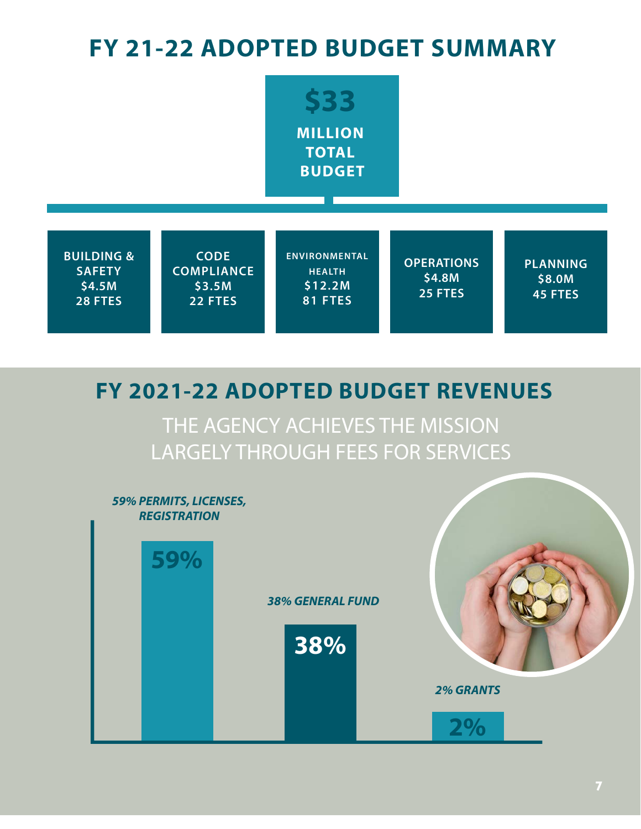## **FY 21-22 ADOPTED BUDGET SUMMARY**



## **FY 2021-22 ADOPTED BUDGET REVENUES**

THE AGENCY ACHIEVES THE MISSION LARGELY THROUGH FEES FOR SERVICES

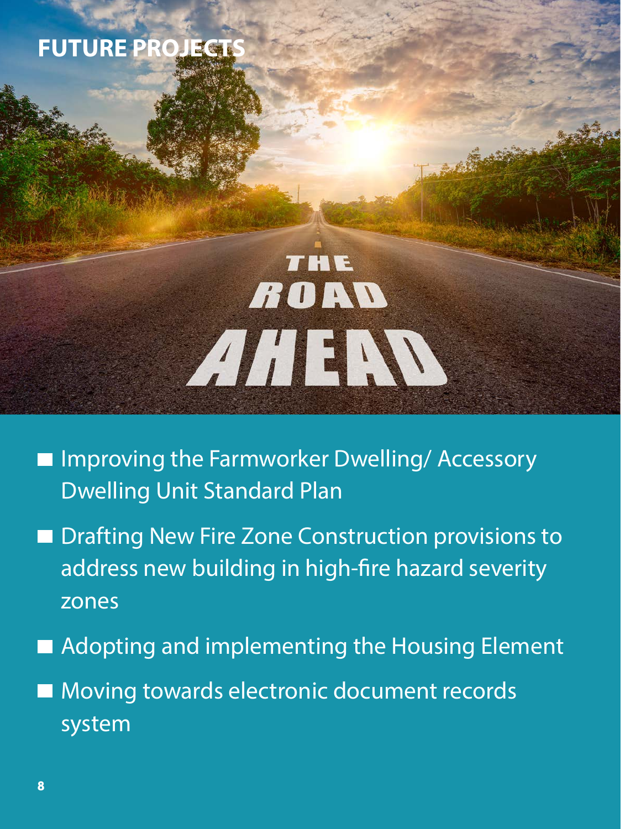## **FUTURE PROJECT**

# THE ROAD AHEW

- **Improving the Farmworker Dwelling/ Accessory** Dwelling Unit Standard Plan
- Drafting New Fire Zone Construction provisions to address new building in high-fire hazard severity zones
- Adopting and implementing the Housing Element
- **Moving towards electronic document records** system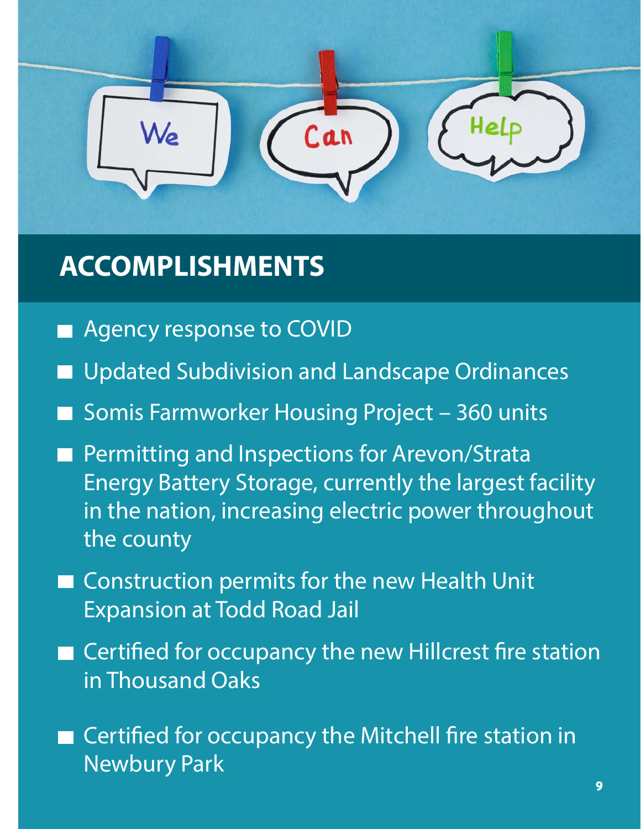

## **ACCOMPLISHMENTS**

- Agency response to COVID
- Updated Subdivision and Landscape Ordinances
- Somis Farmworker Housing Project 360 units
- Permitting and Inspections for Arevon/Strata Energy Battery Storage, currently the largest facility in the nation, increasing electric power throughout the county
- Construction permits for the new Health Unit Expansion at Todd Road Jail
- Certified for occupancy the new Hillcrest fire station in Thousand Oaks
- Certified for occupancy the Mitchell fire station in Newbury Park